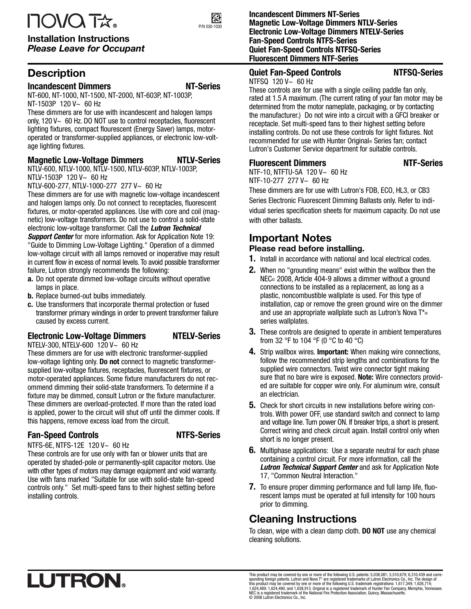# **IOVOTA**

#### Installation Instructions Please Leave for Occupant

# **Description**

#### **Incandescent Dimmers NT-Series**

NT-600, NT-1000, NT-1500, NT-2000, NT-603P, NT-1003P, NT-1503P 120 V~ 60 Hz

These dimmers are for use with incandescent and halogen lamps only, 120 V~ 60 Hz. DO NOT use to control receptacles, fluorescent lighting fixtures, compact flourescent (Energy Saver) lamps, motoroperated or transformer-supplied appliances, or electronic low-voltage lighting fixtures.

#### **Magnetic Low-Voltage Dimmers NTLV-Series**

NTLV-600, NTLV-1000, NTLV-1500, NTLV-603P, NTLV-1003P, NTLV-1503P 120 V~ 60 Hz

NTLV-600-277, NTLV-1000-277 277 V~ 60 Hz

These dimmers are for use with magnetic low-voltage incandescent and halogen lamps only. Do not connect to receptacles, fluorescent fixtures, or motor-operated appliances. Use with core and coil (magnetic) low-voltage transformers. Do not use to control a solid-state electronic low-voltage transformer. Call the **Lutron Technical**

**Support Center** for more information. Ask for Application Note 19: "Guide to Dimming Low-Voltage Lighting." Operation of a dimmed low-voltage circuit with all lamps removed or inoperative may result in current flow in excess of normal levels. To avoid possible transformer failure, Lutron strongly recommends the following:

- **a.** Do not operate dimmed low-voltage circuits without operative lamps in place.
- **b.** Replace burned-out bulbs immediately.
- **c.** Use transformers that incorporate thermal protection or fused transformer primary windings in order to prevent transformer failure caused by excess current.

#### **Electronic Low-Voltage Dimmers NTELV-Series**

NTELV-300, NTELV-600 120 V~ 60 Hz These dimmers are for use with electronic transformer-supplied low-voltage lighting only. **Do not** connect to magnetic transformersupplied low-voltage fixtures, receptacles, fluorescent fixtures, or motor-operated appliances. Some fixture manufacturers do not recommend dimming their solid-state transformers. To determine if a fixture may be dimmed, consult Lutron or the fixture manufacturer. These dimmers are overload-protected. If more than the rated load is applied, power to the circuit will shut off until the dimmer cools. If this happens, remove excess load from the circuit.

#### **Fan-Speed Controls NTFS-Series**

NTFS-6E, NTFS-12E 120 V~ 60 Hz

These controls are for use only with fan or blower units that are operated by shaded-pole or permanently-split capacitor motors. Use with other types of motors may damage equipment and void warranty. Use with fans marked "Suitable for use with solid-state fan-speed controls only." Set multi-speed fans to their highest setting before installing controls.

#### **Incandescent Dimmers NT-Series Magnetic Low-Voltage Dimmers NTLV-Series Electronic Low-Voltage Dimmers NTELV-Series Fan-Speed Controls NTFS-Series Quiet Fan-Speed Controls NTFSQ-Series Fluorescent Dimmers NTF-Series**

# **Quiet Fan-Speed Controls NTFSQ-Series**

NTFSQ 120 V~ 60 Hz

These controls are for use with a single ceiling paddle fan only, rated at 1.5 A maximum. (The current rating of your fan motor may be determined from the motor nameplate, packaging, or by contacting the manufacturer.) Do not wire into a circuit with a GFCI breaker or receptacle. Set multi-speed fans to their highest setting before installing controls. Do not use these controls for light fixtures. Not recommended for use with Hunter Original® Series fan; contact Lutron's Customer Service department for suitable controls.

#### **Fluorescent Dimmers** NTF-Series

NTF-10, NTFTU-5A 120 V~ 60 Hz NTF-10-277 277 V~ 60 Hz

These dimmers are for use with Lutron's FDB, ECO, HL3, or CB3 Series Electronic Fluorescent Dimming Ballasts only. Refer to individual series specification sheets for maximum capacity. Do not use with other ballasts.

# Important Notes

#### Please read before installing.

- **1.** Install in accordance with national and local electrical codes.
- **2.** When no "grounding means" exist within the wallbox then the NEC<sup>®</sup> 2008, Article 404-9 allows a dimmer without a ground connections to be installed as a replacement, as long as a plastic, noncombustible wallplate is used. For this type of installation, cap or remove the green ground wire on the dimmer and use an appropriate wallplate such as Lutron's Nova T<sup>\*</sup>® series wallplates.
- **3.** These controls are designed to operate in ambient temperatures from 32  $\degree$ F to 104  $\degree$ F (0  $\degree$ C to 40  $\degree$ C)
- **4.** Strip wallbox wires. **Important:** When making wire connections, follow the recommended strip lengths and combinations for the supplied wire connectors. Twist wire connector tight making sure that no bare wire is exposed. **Note:** Wire connectors provided are suitable for copper wire only. For aluminum wire, consult an electrician.
- **5.** Check for short circuits in new installations before wiring controls. With power OFF, use standard switch and connect to lamp and voltage line. Turn power ON. If breaker trips, a short is present. Correct wiring and check circuit again. Install control only when short is no longer present.
- **6.** Multiphase applications: Use a separate neutral for each phase containing a control circuit. For more information, call the **Lutron Technical Support Center** and ask for Application Note 17, "Common Neutral Interaction."
- **7.** To ensure proper dimming performance and full lamp life, fluorescent lamps must be operated at full intensity for 100 hours prior to dimming.

# Cleaning Instructions

To clean, wipe with a clean damp cloth. **DO NOT** use any chemical cleaning solutions.

This product may be covered by one or more of the following U.S. patents: 5,038,081; 5,510,679; 6,310,439 and corresponding foreign patents. Lutron and Nova T\* are registered trademarks of Lutron Electronics Co., Inc. The

ГÃ P/N 030-1030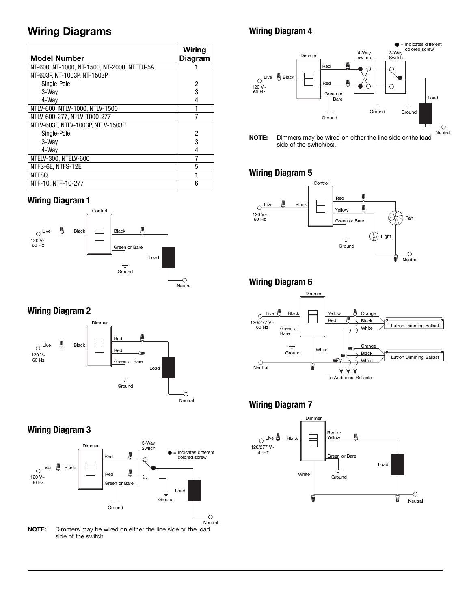# Wiring Diagrams

|                                             | Wiring         |
|---------------------------------------------|----------------|
| <b>Model Number</b>                         | <b>Diagram</b> |
| NT-600, NT-1000, NT-1500, NT-2000, NTFTU-5A |                |
| NT-603P, NT-1003P, NT-1503P                 |                |
| Single-Pole                                 | 2              |
| 3-Way                                       | 3              |
| 4-Wav                                       | 4              |
| NTLV-600, NTLV-1000, NTLV-1500              |                |
| NTLV-600-277, NTLV-1000-277                 |                |
| NTLV-603P, NTLV-1003P, NTLV-1503P           |                |
| Single-Pole                                 | 2              |
| 3-Wav                                       | 3              |
| 4-Way                                       | 4              |
| NTELV-300, NTELV-600                        |                |
| NTFS-6E, NTFS-12E                           | 5              |
| NTFSQ                                       |                |
| NTF-10, NTF-10-277                          | 6              |

#### **Wiring Diagram 1**



#### **Wiring Diagram 2**



## **Wiring Diagram 3**



NOTE: Dimmers may be wired on either the line side or the load side of the switch.

### **Wiring Diagram 4**



NOTE: Dimmers may be wired on either the line side or the load side of the switch(es).

#### **Wiring Diagram 5**



#### **Wiring Diagram 6**



#### **Wiring Diagram 7**

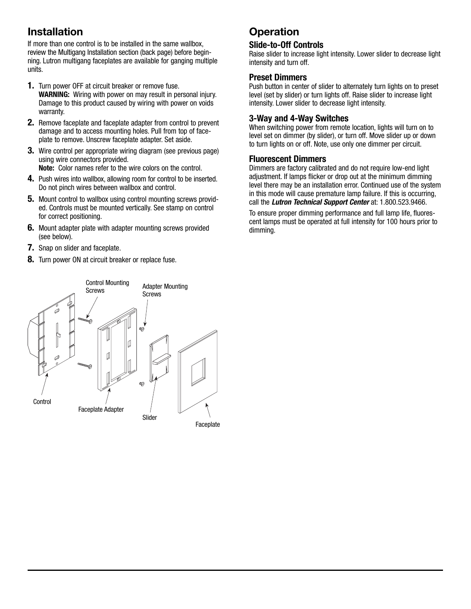# Installation

If more than one control is to be installed in the same wallbox, review the Multigang Installation section (back page) before beginning. Lutron multigang faceplates are available for ganging multiple units.

- **1.** Turn power OFF at circuit breaker or remove fuse. **WARNING:** Wiring with power on may result in personal injury. Damage to this product caused by wiring with power on voids warranty.
- **2.** Remove faceplate and faceplate adapter from control to prevent damage and to access mounting holes. Pull from top of faceplate to remove. Unscrew faceplate adapter. Set aside.
- **3.** Wire control per appropriate wiring diagram (see previous page) using wire connectors provided.

**Note:** Color names refer to the wire colors on the control.

- **4.** Push wires into wallbox, allowing room for control to be inserted. Do not pinch wires between wallbox and control.
- **5.** Mount control to wallbox using control mounting screws provided. Controls must be mounted vertically. See stamp on control for correct positioning.
- **6.** Mount adapter plate with adapter mounting screws provided (see below).
- **7.** Snap on slider and faceplate.
- **8.** Turn power ON at circuit breaker or replace fuse.

# **Operation**

#### **Slide-to-Off Controls**

Raise slider to increase light intensity. Lower slider to decrease light intensity and turn off.

#### **Preset Dimmers**

Push button in center of slider to alternately turn lights on to preset level (set by slider) or turn lights off. Raise slider to increase light intensity. Lower slider to decrease light intensity.

#### **3-Way and 4-Way Switches**

When switching power from remote location, lights will turn on to level set on dimmer (by slider), or turn off. Move slider up or down to turn lights on or off. Note, use only one dimmer per circuit.

#### **Fluorescent Dimmers**

Dimmers are factory calibrated and do not require low-end light adjustment. If lamps flicker or drop out at the minimum dimming level there may be an installation error. Continued use of the system in this mode will cause premature lamp failure. If this is occurring, call the **Lutron Technical Support Center** at: 1.800.523.9466.

To ensure proper dimming performance and full lamp life, fluorescent lamps must be operated at full intensity for 100 hours prior to dimming.